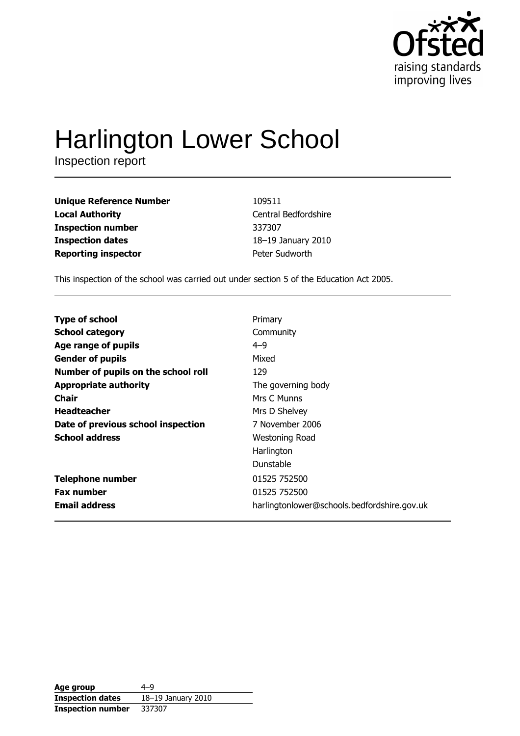

# Harlington Lower School

| <b>Unique Reference Number</b> | 109511               |
|--------------------------------|----------------------|
| <b>Local Authority</b>         | Central Bedfordshire |
| <b>Inspection number</b>       | 337307               |
| <b>Inspection dates</b>        | 18-19 January 2010   |
| <b>Reporting inspector</b>     | Peter Sudworth       |

This inspection of the school was carried out under section 5 of the Education Act 2005.

| <b>Type of school</b>               | Primary                                     |
|-------------------------------------|---------------------------------------------|
| <b>School category</b>              | Community                                   |
| Age range of pupils                 | $4 - 9$                                     |
| <b>Gender of pupils</b>             | Mixed                                       |
| Number of pupils on the school roll | 129                                         |
| <b>Appropriate authority</b>        | The governing body                          |
| Chair                               | Mrs C Munns                                 |
| <b>Headteacher</b>                  | Mrs D Shelvey                               |
| Date of previous school inspection  | 7 November 2006                             |
| <b>School address</b>               | Westoning Road                              |
|                                     | Harlington                                  |
|                                     | Dunstable                                   |
| <b>Telephone number</b>             | 01525 752500                                |
| <b>Fax number</b>                   | 01525 752500                                |
| <b>Email address</b>                | harlingtonlower@schools.bedfordshire.gov.uk |

| Age group                | $4 - 9$            |
|--------------------------|--------------------|
| <b>Inspection dates</b>  | 18-19 January 2010 |
| <b>Inspection number</b> | 337307             |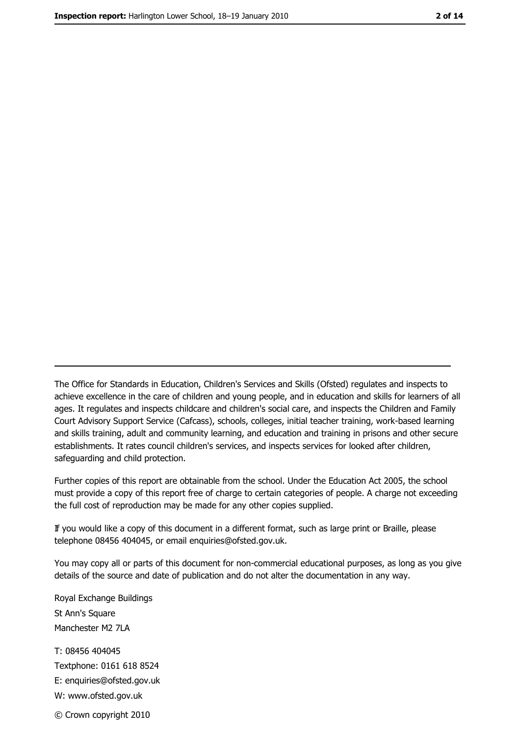The Office for Standards in Education, Children's Services and Skills (Ofsted) regulates and inspects to achieve excellence in the care of children and young people, and in education and skills for learners of all ages. It regulates and inspects childcare and children's social care, and inspects the Children and Family Court Advisory Support Service (Cafcass), schools, colleges, initial teacher training, work-based learning and skills training, adult and community learning, and education and training in prisons and other secure establishments. It rates council children's services, and inspects services for looked after children, safequarding and child protection.

Further copies of this report are obtainable from the school. Under the Education Act 2005, the school must provide a copy of this report free of charge to certain categories of people. A charge not exceeding the full cost of reproduction may be made for any other copies supplied.

If you would like a copy of this document in a different format, such as large print or Braille, please telephone 08456 404045, or email enquiries@ofsted.gov.uk.

You may copy all or parts of this document for non-commercial educational purposes, as long as you give details of the source and date of publication and do not alter the documentation in any way.

Royal Exchange Buildings St Ann's Square Manchester M2 7LA T: 08456 404045 Textphone: 0161 618 8524 E: enquiries@ofsted.gov.uk W: www.ofsted.gov.uk © Crown copyright 2010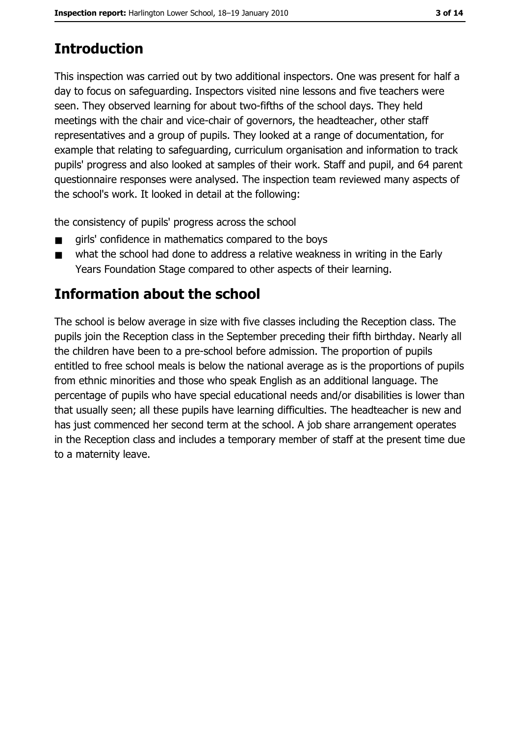# **Introduction**

This inspection was carried out by two additional inspectors. One was present for half a day to focus on safeguarding. Inspectors visited nine lessons and five teachers were seen. They observed learning for about two-fifths of the school days. They held meetings with the chair and vice-chair of governors, the headteacher, other staff representatives and a group of pupils. They looked at a range of documentation, for example that relating to safeguarding, curriculum organisation and information to track pupils' progress and also looked at samples of their work. Staff and pupil, and 64 parent questionnaire responses were analysed. The inspection team reviewed many aspects of the school's work. It looked in detail at the following:

the consistency of pupils' progress across the school

- girls' confidence in mathematics compared to the boys
- what the school had done to address a relative weakness in writing in the Early  $\blacksquare$ Years Foundation Stage compared to other aspects of their learning.

# Information about the school

The school is below average in size with five classes including the Reception class. The pupils join the Reception class in the September preceding their fifth birthday. Nearly all the children have been to a pre-school before admission. The proportion of pupils entitled to free school meals is below the national average as is the proportions of pupils from ethnic minorities and those who speak English as an additional language. The percentage of pupils who have special educational needs and/or disabilities is lower than that usually seen; all these pupils have learning difficulties. The headteacher is new and has just commenced her second term at the school. A job share arrangement operates in the Reception class and includes a temporary member of staff at the present time due to a maternity leave.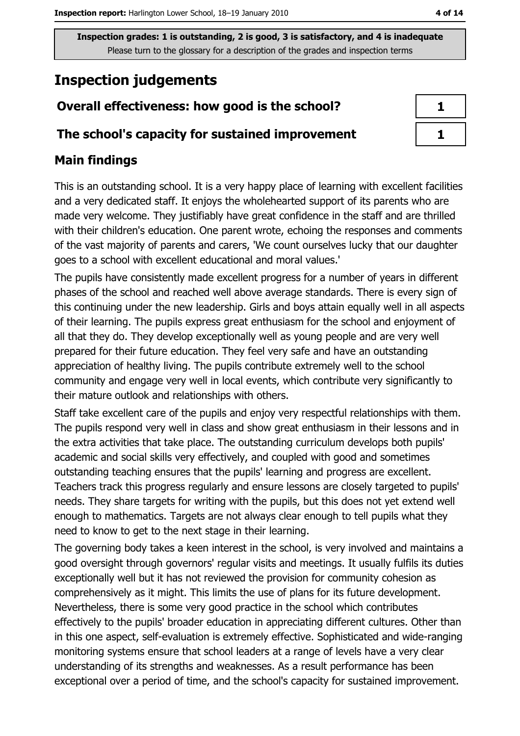# **Inspection judgements**

## Overall effectiveness: how good is the school?

## The school's capacity for sustained improvement

## **Main findings**

This is an outstanding school. It is a very happy place of learning with excellent facilities and a very dedicated staff. It enjoys the wholehearted support of its parents who are made very welcome. They justifiably have great confidence in the staff and are thrilled with their children's education. One parent wrote, echoing the responses and comments of the vast majority of parents and carers, 'We count ourselves lucky that our daughter goes to a school with excellent educational and moral values."

The pupils have consistently made excellent progress for a number of years in different phases of the school and reached well above average standards. There is every sign of this continuing under the new leadership. Girls and boys attain equally well in all aspects of their learning. The pupils express great enthusiasm for the school and enjoyment of all that they do. They develop exceptionally well as young people and are very well prepared for their future education. They feel very safe and have an outstanding appreciation of healthy living. The pupils contribute extremely well to the school community and engage very well in local events, which contribute very significantly to their mature outlook and relationships with others.

Staff take excellent care of the pupils and enjoy very respectful relationships with them. The pupils respond very well in class and show great enthusiasm in their lessons and in the extra activities that take place. The outstanding curriculum develops both pupils' academic and social skills very effectively, and coupled with good and sometimes outstanding teaching ensures that the pupils' learning and progress are excellent. Teachers track this progress regularly and ensure lessons are closely targeted to pupils' needs. They share targets for writing with the pupils, but this does not yet extend well enough to mathematics. Targets are not always clear enough to tell pupils what they need to know to get to the next stage in their learning.

The governing body takes a keen interest in the school, is very involved and maintains a good oversight through governors' regular visits and meetings. It usually fulfils its duties exceptionally well but it has not reviewed the provision for community cohesion as comprehensively as it might. This limits the use of plans for its future development. Nevertheless, there is some very good practice in the school which contributes effectively to the pupils' broader education in appreciating different cultures. Other than in this one aspect, self-evaluation is extremely effective. Sophisticated and wide-ranging monitoring systems ensure that school leaders at a range of levels have a very clear understanding of its strengths and weaknesses. As a result performance has been exceptional over a period of time, and the school's capacity for sustained improvement.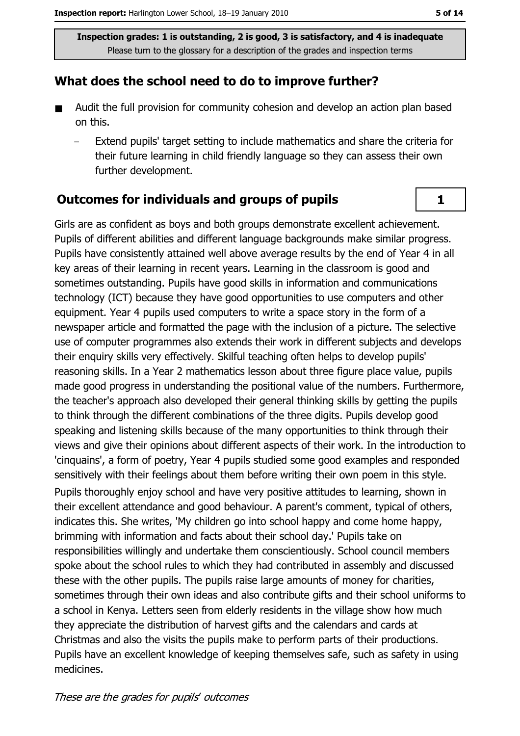## What does the school need to do to improve further?

- $\blacksquare$ Audit the full provision for community cohesion and develop an action plan based on this.
	- Extend pupils' target setting to include mathematics and share the criteria for their future learning in child friendly language so they can assess their own further development.

## **Outcomes for individuals and groups of pupils**

Girls are as confident as boys and both groups demonstrate excellent achievement. Pupils of different abilities and different language backgrounds make similar progress. Pupils have consistently attained well above average results by the end of Year 4 in all key areas of their learning in recent years. Learning in the classroom is good and sometimes outstanding. Pupils have good skills in information and communications technology (ICT) because they have good opportunities to use computers and other equipment. Year 4 pupils used computers to write a space story in the form of a newspaper article and formatted the page with the inclusion of a picture. The selective use of computer programmes also extends their work in different subjects and develops their enquiry skills very effectively. Skilful teaching often helps to develop pupils' reasoning skills. In a Year 2 mathematics lesson about three figure place value, pupils made good progress in understanding the positional value of the numbers. Furthermore, the teacher's approach also developed their general thinking skills by getting the pupils to think through the different combinations of the three digits. Pupils develop good speaking and listening skills because of the many opportunities to think through their views and give their opinions about different aspects of their work. In the introduction to 'cinquains', a form of poetry, Year 4 pupils studied some good examples and responded sensitively with their feelings about them before writing their own poem in this style.

Pupils thoroughly enjoy school and have very positive attitudes to learning, shown in their excellent attendance and good behaviour. A parent's comment, typical of others, indicates this. She writes, 'My children go into school happy and come home happy, brimming with information and facts about their school day.' Pupils take on responsibilities willingly and undertake them conscientiously. School council members spoke about the school rules to which they had contributed in assembly and discussed these with the other pupils. The pupils raise large amounts of money for charities, sometimes through their own ideas and also contribute gifts and their school uniforms to a school in Kenya. Letters seen from elderly residents in the village show how much they appreciate the distribution of harvest gifts and the calendars and cards at Christmas and also the visits the pupils make to perform parts of their productions. Pupils have an excellent knowledge of keeping themselves safe, such as safety in using medicines.

 $\mathbf{1}$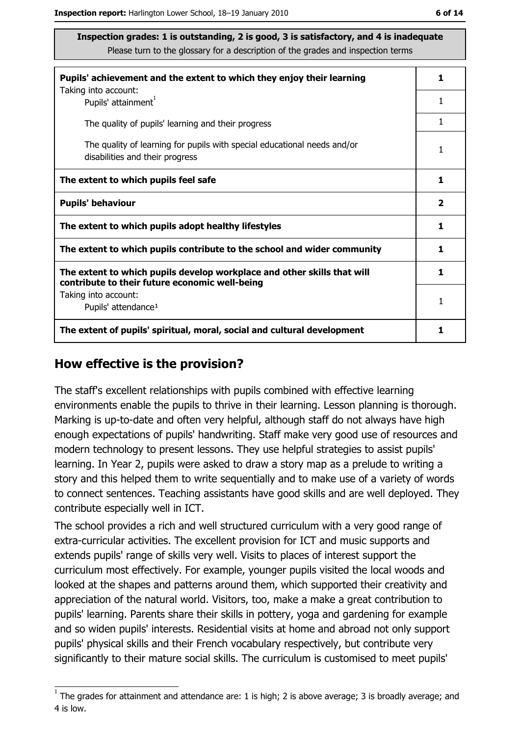| Pupils' achievement and the extent to which they enjoy their learning                                                     | 1 |
|---------------------------------------------------------------------------------------------------------------------------|---|
| Taking into account:<br>Pupils' attainment <sup>1</sup>                                                                   | 1 |
| The quality of pupils' learning and their progress                                                                        |   |
| The quality of learning for pupils with special educational needs and/or<br>disabilities and their progress               | 1 |
| The extent to which pupils feel safe                                                                                      | 1 |
| <b>Pupils' behaviour</b>                                                                                                  |   |
| The extent to which pupils adopt healthy lifestyles                                                                       | 1 |
| The extent to which pupils contribute to the school and wider community                                                   |   |
| The extent to which pupils develop workplace and other skills that will<br>contribute to their future economic well-being | 1 |
| Taking into account:<br>Pupils' attendance <sup>1</sup>                                                                   | 1 |
| The extent of pupils' spiritual, moral, social and cultural development                                                   |   |

#### How effective is the provision?

The staff's excellent relationships with pupils combined with effective learning environments enable the pupils to thrive in their learning. Lesson planning is thorough. Marking is up-to-date and often very helpful, although staff do not always have high enough expectations of pupils' handwriting. Staff make very good use of resources and modern technology to present lessons. They use helpful strategies to assist pupils' learning. In Year 2, pupils were asked to draw a story map as a prelude to writing a story and this helped them to write sequentially and to make use of a variety of words to connect sentences. Teaching assistants have good skills and are well deployed. They contribute especially well in ICT.

The school provides a rich and well structured curriculum with a very good range of extra-curricular activities. The excellent provision for ICT and music supports and extends pupils' range of skills very well. Visits to places of interest support the curriculum most effectively. For example, younger pupils visited the local woods and looked at the shapes and patterns around them, which supported their creativity and appreciation of the natural world. Visitors, too, make a make a great contribution to pupils' learning. Parents share their skills in pottery, yoga and gardening for example and so widen pupils' interests. Residential visits at home and abroad not only support pupils' physical skills and their French vocabulary respectively, but contribute very significantly to their mature social skills. The curriculum is customised to meet pupils'

 $1$  The arades for attainment and attendance are: 1 is high; 2 is above average; 3 is broadly average; and 4 is low.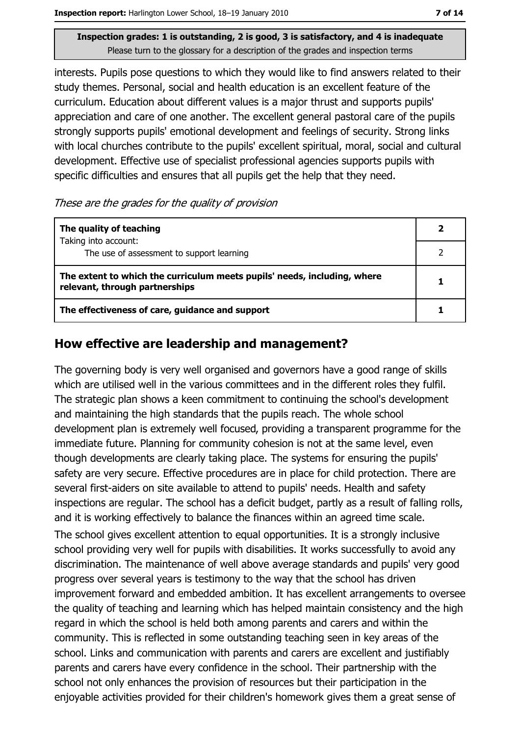interests. Pupils pose questions to which they would like to find answers related to their study themes. Personal, social and health education is an excellent feature of the curriculum. Education about different values is a major thrust and supports pupils' appreciation and care of one another. The excellent general pastoral care of the pupils strongly supports pupils' emotional development and feelings of security. Strong links with local churches contribute to the pupils' excellent spiritual, moral, social and cultural development. Effective use of specialist professional agencies supports pupils with specific difficulties and ensures that all pupils get the help that they need.

#### These are the grades for the quality of provision

| The quality of teaching                                                                                    |  |
|------------------------------------------------------------------------------------------------------------|--|
| Taking into account:<br>The use of assessment to support learning                                          |  |
| The extent to which the curriculum meets pupils' needs, including, where<br>relevant, through partnerships |  |
| The effectiveness of care, guidance and support                                                            |  |

## How effective are leadership and management?

The governing body is very well organised and governors have a good range of skills which are utilised well in the various committees and in the different roles they fulfil. The strategic plan shows a keen commitment to continuing the school's development and maintaining the high standards that the pupils reach. The whole school development plan is extremely well focused, providing a transparent programme for the immediate future. Planning for community cohesion is not at the same level, even though developments are clearly taking place. The systems for ensuring the pupils' safety are very secure. Effective procedures are in place for child protection. There are several first-aiders on site available to attend to pupils' needs. Health and safety inspections are regular. The school has a deficit budget, partly as a result of falling rolls, and it is working effectively to balance the finances within an agreed time scale.

The school gives excellent attention to equal opportunities. It is a strongly inclusive school providing very well for pupils with disabilities. It works successfully to avoid any discrimination. The maintenance of well above average standards and pupils' very good progress over several years is testimony to the way that the school has driven improvement forward and embedded ambition. It has excellent arrangements to oversee the quality of teaching and learning which has helped maintain consistency and the high regard in which the school is held both among parents and carers and within the community. This is reflected in some outstanding teaching seen in key areas of the school. Links and communication with parents and carers are excellent and justifiably parents and carers have every confidence in the school. Their partnership with the school not only enhances the provision of resources but their participation in the enjoyable activities provided for their children's homework gives them a great sense of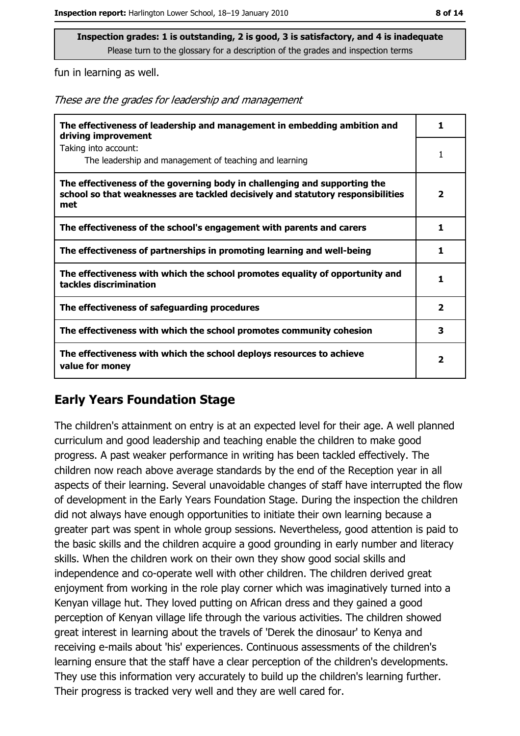fun in learning as well.

These are the grades for leadership and management

| The effectiveness of leadership and management in embedding ambition and<br>driving improvement                                                                     | 1                       |
|---------------------------------------------------------------------------------------------------------------------------------------------------------------------|-------------------------|
| Taking into account:<br>The leadership and management of teaching and learning                                                                                      | 1                       |
| The effectiveness of the governing body in challenging and supporting the<br>school so that weaknesses are tackled decisively and statutory responsibilities<br>met | $\overline{\mathbf{2}}$ |
| The effectiveness of the school's engagement with parents and carers                                                                                                | 1                       |
| The effectiveness of partnerships in promoting learning and well-being                                                                                              |                         |
| The effectiveness with which the school promotes equality of opportunity and<br>tackles discrimination                                                              | 1                       |
| The effectiveness of safeguarding procedures                                                                                                                        | $\overline{\mathbf{2}}$ |
| The effectiveness with which the school promotes community cohesion                                                                                                 | 3                       |
| The effectiveness with which the school deploys resources to achieve<br>value for money                                                                             | 2                       |

## **Early Years Foundation Stage**

The children's attainment on entry is at an expected level for their age. A well planned curriculum and good leadership and teaching enable the children to make good progress. A past weaker performance in writing has been tackled effectively. The children now reach above average standards by the end of the Reception year in all aspects of their learning. Several unavoidable changes of staff have interrupted the flow of development in the Early Years Foundation Stage. During the inspection the children did not always have enough opportunities to initiate their own learning because a greater part was spent in whole group sessions. Nevertheless, good attention is paid to the basic skills and the children acquire a good grounding in early number and literacy skills. When the children work on their own they show good social skills and independence and co-operate well with other children. The children derived great enjoyment from working in the role play corner which was imaginatively turned into a Kenyan village hut. They loved putting on African dress and they gained a good perception of Kenyan village life through the various activities. The children showed great interest in learning about the travels of 'Derek the dinosaur' to Kenya and receiving e-mails about 'his' experiences. Continuous assessments of the children's learning ensure that the staff have a clear perception of the children's developments. They use this information very accurately to build up the children's learning further. Their progress is tracked very well and they are well cared for.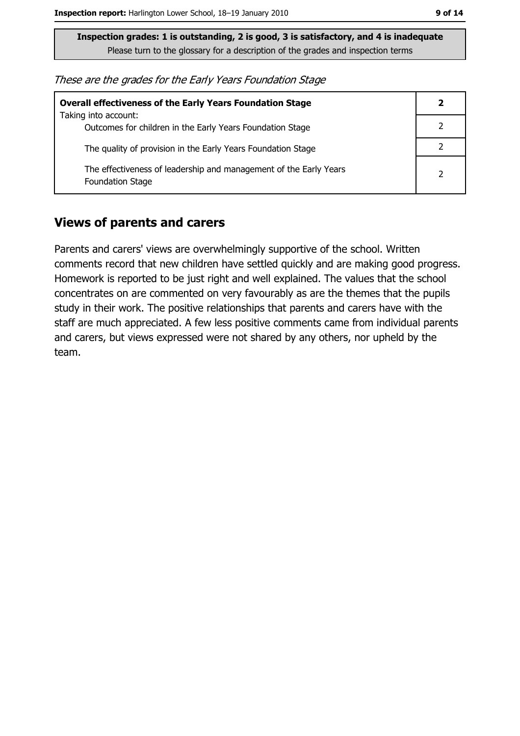These are the grades for the Early Years Foundation Stage

| <b>Overall effectiveness of the Early Years Foundation Stage</b>                             | 2 |
|----------------------------------------------------------------------------------------------|---|
| Taking into account:<br>Outcomes for children in the Early Years Foundation Stage            |   |
| The quality of provision in the Early Years Foundation Stage                                 |   |
| The effectiveness of leadership and management of the Early Years<br><b>Foundation Stage</b> |   |

### **Views of parents and carers**

Parents and carers' views are overwhelmingly supportive of the school. Written comments record that new children have settled quickly and are making good progress. Homework is reported to be just right and well explained. The values that the school concentrates on are commented on very favourably as are the themes that the pupils study in their work. The positive relationships that parents and carers have with the staff are much appreciated. A few less positive comments came from individual parents and carers, but views expressed were not shared by any others, nor upheld by the team.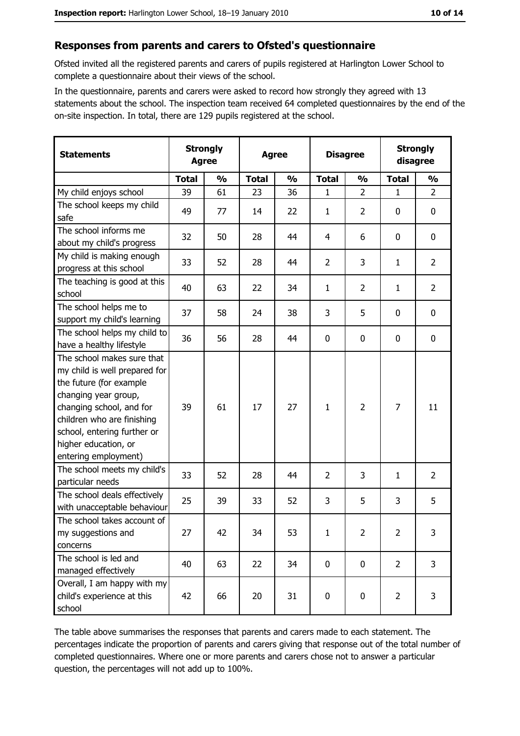#### Responses from parents and carers to Ofsted's questionnaire

Ofsted invited all the registered parents and carers of pupils registered at Harlington Lower School to complete a questionnaire about their views of the school.

In the questionnaire, parents and carers were asked to record how strongly they agreed with 13 statements about the school. The inspection team received 64 completed questionnaires by the end of the on-site inspection. In total, there are 129 pupils registered at the school.

| <b>Statements</b>                                                                                                                                                                                                                                       | <b>Strongly</b><br><b>Agree</b> |               | <b>Agree</b> |               |                | <b>Disagree</b> |                | <b>Strongly</b><br>disagree |  |
|---------------------------------------------------------------------------------------------------------------------------------------------------------------------------------------------------------------------------------------------------------|---------------------------------|---------------|--------------|---------------|----------------|-----------------|----------------|-----------------------------|--|
|                                                                                                                                                                                                                                                         | <b>Total</b>                    | $\frac{1}{2}$ | <b>Total</b> | $\frac{0}{0}$ | <b>Total</b>   | $\frac{0}{0}$   | <b>Total</b>   | $\frac{0}{0}$               |  |
| My child enjoys school                                                                                                                                                                                                                                  | 39                              | 61            | 23           | 36            | 1              | $\overline{2}$  | 1              | $\overline{2}$              |  |
| The school keeps my child<br>safe                                                                                                                                                                                                                       | 49                              | 77            | 14           | 22            | $\mathbf{1}$   | $\overline{2}$  | 0              | 0                           |  |
| The school informs me<br>about my child's progress                                                                                                                                                                                                      | 32                              | 50            | 28           | 44            | 4              | 6               | 0              | $\mathbf 0$                 |  |
| My child is making enough<br>progress at this school                                                                                                                                                                                                    | 33                              | 52            | 28           | 44            | $\overline{2}$ | 3               | 1              | $\overline{2}$              |  |
| The teaching is good at this<br>school                                                                                                                                                                                                                  | 40                              | 63            | 22           | 34            | 1              | $\overline{2}$  | 1              | $\overline{2}$              |  |
| The school helps me to<br>support my child's learning                                                                                                                                                                                                   | 37                              | 58            | 24           | 38            | 3              | 5               | 0              | $\mathbf 0$                 |  |
| The school helps my child to<br>have a healthy lifestyle                                                                                                                                                                                                | 36                              | 56            | 28           | 44            | $\bf{0}$       | 0               | 0              | 0                           |  |
| The school makes sure that<br>my child is well prepared for<br>the future (for example<br>changing year group,<br>changing school, and for<br>children who are finishing<br>school, entering further or<br>higher education, or<br>entering employment) | 39                              | 61            | 17           | 27            | $\mathbf{1}$   | $\overline{2}$  | $\overline{7}$ | 11                          |  |
| The school meets my child's<br>particular needs                                                                                                                                                                                                         | 33                              | 52            | 28           | 44            | 2              | 3               | 1              | $\overline{2}$              |  |
| The school deals effectively<br>with unacceptable behaviour                                                                                                                                                                                             | 25                              | 39            | 33           | 52            | 3              | 5               | 3              | 5                           |  |
| The school takes account of<br>my suggestions and<br>concerns                                                                                                                                                                                           | 27                              | 42            | 34           | 53            | 1              | $\overline{2}$  | $\overline{2}$ | 3                           |  |
| The school is led and<br>managed effectively                                                                                                                                                                                                            | 40                              | 63            | 22           | 34            | $\mathbf 0$    | 0               | $\overline{2}$ | 3                           |  |
| Overall, I am happy with my<br>child's experience at this<br>school                                                                                                                                                                                     | 42                              | 66            | 20           | 31            | $\pmb{0}$      | 0               | $\overline{2}$ | 3                           |  |

The table above summarises the responses that parents and carers made to each statement. The percentages indicate the proportion of parents and carers giving that response out of the total number of completed questionnaires. Where one or more parents and carers chose not to answer a particular question, the percentages will not add up to 100%.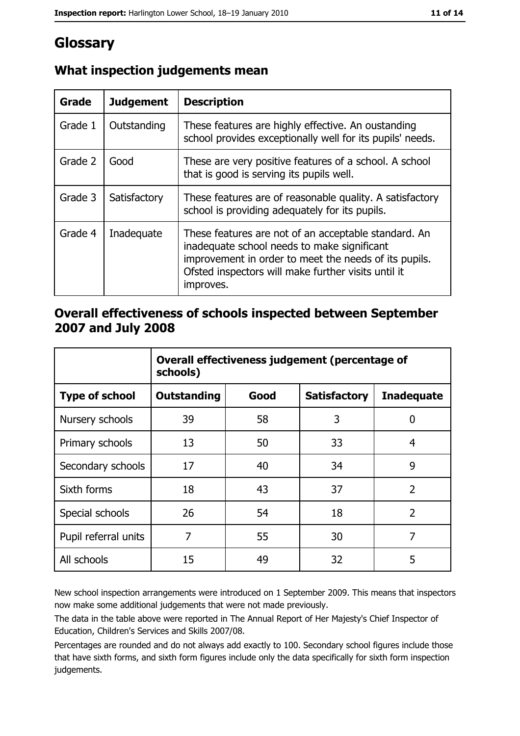# Glossary

| <b>Grade</b> | <b>Judgement</b> | <b>Description</b>                                                                                                                                                                                                               |
|--------------|------------------|----------------------------------------------------------------------------------------------------------------------------------------------------------------------------------------------------------------------------------|
| Grade 1      | Outstanding      | These features are highly effective. An oustanding<br>school provides exceptionally well for its pupils' needs.                                                                                                                  |
| Grade 2      | Good             | These are very positive features of a school. A school<br>that is good is serving its pupils well.                                                                                                                               |
| Grade 3      | Satisfactory     | These features are of reasonable quality. A satisfactory<br>school is providing adequately for its pupils.                                                                                                                       |
| Grade 4      | Inadequate       | These features are not of an acceptable standard. An<br>inadequate school needs to make significant<br>improvement in order to meet the needs of its pupils.<br>Ofsted inspectors will make further visits until it<br>improves. |

## What inspection judgements mean

## Overall effectiveness of schools inspected between September 2007 and July 2008

|                       | Overall effectiveness judgement (percentage of<br>schools) |      |                     |                   |
|-----------------------|------------------------------------------------------------|------|---------------------|-------------------|
| <b>Type of school</b> | <b>Outstanding</b>                                         | Good | <b>Satisfactory</b> | <b>Inadequate</b> |
| Nursery schools       | 39                                                         | 58   | 3                   | 0                 |
| Primary schools       | 13                                                         | 50   | 33                  | 4                 |
| Secondary schools     | 17                                                         | 40   | 34                  | 9                 |
| Sixth forms           | 18                                                         | 43   | 37                  | $\overline{2}$    |
| Special schools       | 26                                                         | 54   | 18                  | $\overline{2}$    |
| Pupil referral units  | 7                                                          | 55   | 30                  | 7                 |
| All schools           | 15                                                         | 49   | 32                  | 5                 |

New school inspection arrangements were introduced on 1 September 2009. This means that inspectors now make some additional judgements that were not made previously.

The data in the table above were reported in The Annual Report of Her Majesty's Chief Inspector of Education, Children's Services and Skills 2007/08.

Percentages are rounded and do not always add exactly to 100. Secondary school figures include those that have sixth forms, and sixth form figures include only the data specifically for sixth form inspection judgements.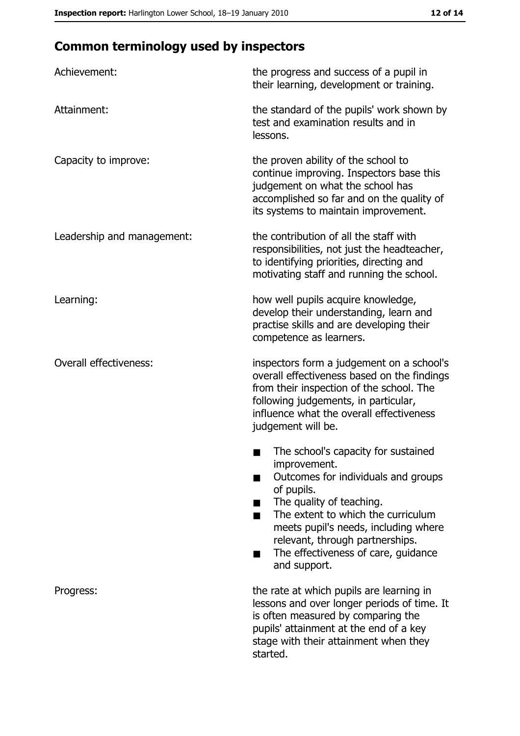# **Common terminology used by inspectors**

| Achievement:                  | the progress and success of a pupil in<br>their learning, development or training.                                                                                                                                                                                                                           |
|-------------------------------|--------------------------------------------------------------------------------------------------------------------------------------------------------------------------------------------------------------------------------------------------------------------------------------------------------------|
| Attainment:                   | the standard of the pupils' work shown by<br>test and examination results and in<br>lessons.                                                                                                                                                                                                                 |
| Capacity to improve:          | the proven ability of the school to<br>continue improving. Inspectors base this<br>judgement on what the school has<br>accomplished so far and on the quality of<br>its systems to maintain improvement.                                                                                                     |
| Leadership and management:    | the contribution of all the staff with<br>responsibilities, not just the headteacher,<br>to identifying priorities, directing and<br>motivating staff and running the school.                                                                                                                                |
| Learning:                     | how well pupils acquire knowledge,<br>develop their understanding, learn and<br>practise skills and are developing their<br>competence as learners.                                                                                                                                                          |
| <b>Overall effectiveness:</b> | inspectors form a judgement on a school's<br>overall effectiveness based on the findings<br>from their inspection of the school. The<br>following judgements, in particular,<br>influence what the overall effectiveness<br>judgement will be.                                                               |
|                               | The school's capacity for sustained<br>improvement.<br>Outcomes for individuals and groups<br>of pupils.<br>The quality of teaching.<br>The extent to which the curriculum<br>meets pupil's needs, including where<br>relevant, through partnerships.<br>The effectiveness of care, guidance<br>and support. |
| Progress:                     | the rate at which pupils are learning in<br>lessons and over longer periods of time. It<br>is often measured by comparing the<br>pupils' attainment at the end of a key<br>stage with their attainment when they<br>started.                                                                                 |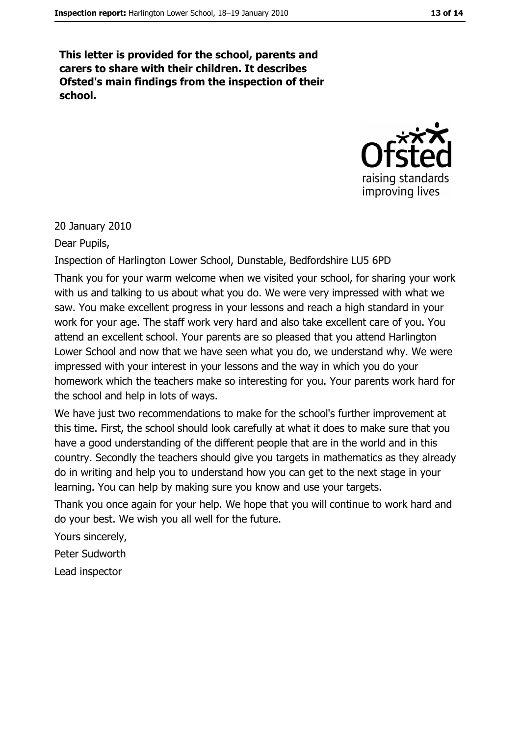This letter is provided for the school, parents and carers to share with their children. It describes Ofsted's main findings from the inspection of their school.



20 January 2010

Dear Pupils,

Inspection of Harlington Lower School, Dunstable, Bedfordshire LU5 6PD

Thank you for your warm welcome when we visited your school, for sharing your work with us and talking to us about what you do. We were very impressed with what we saw. You make excellent progress in your lessons and reach a high standard in your work for your age. The staff work very hard and also take excellent care of you. You attend an excellent school. Your parents are so pleased that you attend Harlington Lower School and now that we have seen what you do, we understand why. We were impressed with your interest in your lessons and the way in which you do your homework which the teachers make so interesting for you. Your parents work hard for the school and help in lots of ways.

We have just two recommendations to make for the school's further improvement at this time. First, the school should look carefully at what it does to make sure that you have a good understanding of the different people that are in the world and in this country. Secondly the teachers should give you targets in mathematics as they already do in writing and help you to understand how you can get to the next stage in your learning. You can help by making sure you know and use your targets.

Thank you once again for your help. We hope that you will continue to work hard and do your best. We wish you all well for the future.

Yours sincerely,

Peter Sudworth

Lead inspector